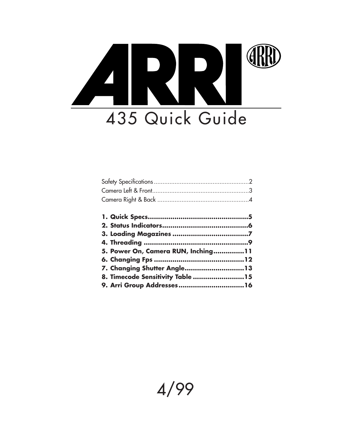

| 5. Power On, Camera RUN, Inching11 |  |
|------------------------------------|--|
|                                    |  |
| 7. Changing Shutter Angle13        |  |
| 8. Timecode Sensitivity Table 15   |  |
|                                    |  |

# 4/99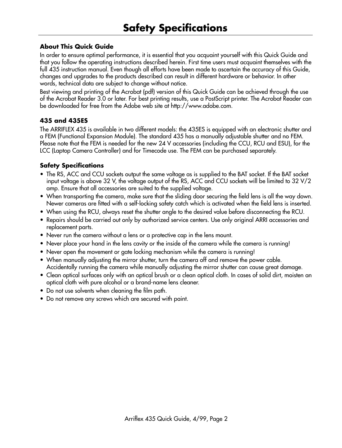# **About This Quick Guide**

In order to ensure optimal performance, it is essential that you acquaint yourself with this Quick Guide and that you follow the operating instructions described herein. First time users must acquaint themselves with the full 435 instruction manual. Even though all efforts have been made to ascertain the accuracy of this Guide, changes and upgrades to the products described can result in different hardware or behavior. In other words, technical data are subject to change without notice.

Best viewing and printing of the Acrobat (pdf) version of this Quick Guide can be achieved through the use of the Acrobat Reader 3.0 or later. For best printing results, use a PostScript printer. The Acrobat Reader can be downloaded for free from the Adobe web site at http://www.adobe.com.

# **435 and 435ES**

The ARRIFLEX 435 is available in two different models: the 435ES is equipped with an electronic shutter and a FEM (Functional Expansion Module). The standard 435 has a manually adjustable shutter and no FEM. Please note that the FEM is needed for the new 24 V accessories (including the CCU, RCU and ESU), for the LCC (Laptop Camera Controller) and for Timecode use. The FEM can be purchased separately.

# **Safety Specifications**

- The RS, ACC and CCU sockets output the same voltage as is supplied to the BAT socket. If the BAT socket input voltage is above 32 V, the voltage output of the RS, ACC and CCU sockets will be limited to 32 V/2 amp. Ensure that all accessories are suited to the supplied voltage.
- When transporting the camera, make sure that the sliding door securing the field lens is all the way down. Newer cameras are fitted with a self-locking safety catch which is activated when the field lens is inserted.
- When using the RCU, always reset the shutter angle to the desired value before disconnecting the RCU.
- Repairs should be carried out only by authorized service centers. Use only original ARRI accessories and replacement parts.
- Never run the camera without a lens or a protective cap in the lens mount.
- Never place your hand in the lens cavity or the inside of the camera while the camera is running!
- Never open the movement or gate locking mechanism while the camera is running!
- When manually adjusting the mirror shutter, turn the camera off and remove the power cable. Accidentally running the camera while manually adjusting the mirror shutter can cause great damage.
- Clean optical surfaces only with an optical brush or a clean optical cloth. In cases of solid dirt, moisten an optical cloth with pure alcohol or a brand-name lens cleaner.
- Do not use solvents when cleaning the film path.
- Do not remove any screws which are secured with paint.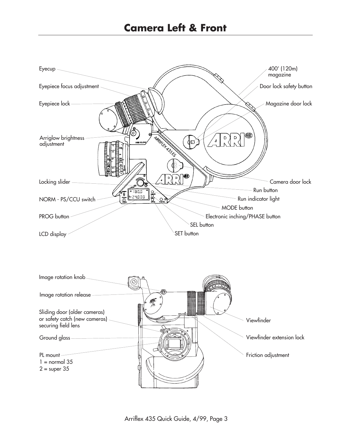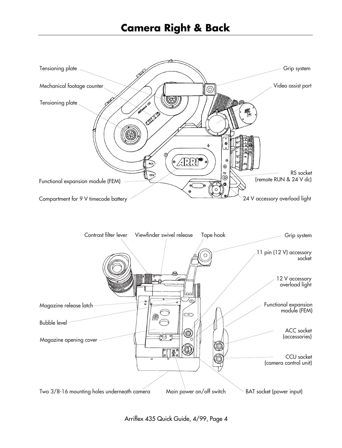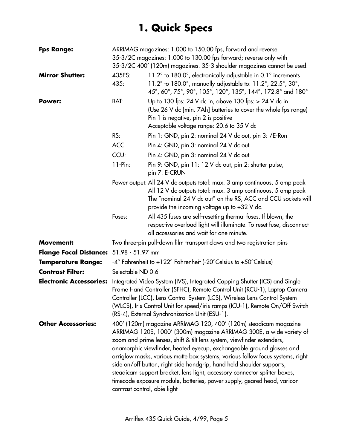| <b>Fps Range:</b>                       | ARRIMAG magazines: 1.000 to 150.00 fps, forward and reverse<br>35-3/2C magazines: 1.000 to 130.00 fps forward; reverse only with<br>35-3/2C 400' (120m) magazines. 35-3 shoulder magazines cannot be used. |                                                                                                                                                                                                                                                                                                                                                                                                                                                                                                                                                                                                                |
|-----------------------------------------|------------------------------------------------------------------------------------------------------------------------------------------------------------------------------------------------------------|----------------------------------------------------------------------------------------------------------------------------------------------------------------------------------------------------------------------------------------------------------------------------------------------------------------------------------------------------------------------------------------------------------------------------------------------------------------------------------------------------------------------------------------------------------------------------------------------------------------|
| <b>Mirror Shutter:</b>                  | 435ES:<br>435:                                                                                                                                                                                             | 11.2° to 180.0°, electronically adjustable in 0.1° increments<br>11.2 $^{\circ}$ to 180.0 $^{\circ}$ , manually adjustable to: 11.2 $^{\circ}$ , 22.5 $^{\circ}$ , 30 $^{\circ}$ ,<br>45°, 60°, 75°, 90°, 105°, 120°, 135°, 144°, 172.8° and 180°                                                                                                                                                                                                                                                                                                                                                              |
| Power:                                  | BAT:                                                                                                                                                                                                       | Up to 130 fps: 24 V dc in, above 130 fps: $> 24$ V dc in<br>(Use 26 V dc [min. 7Ah] batteries to cover the whole fps range)<br>Pin 1 is negative, pin 2 is positive<br>Acceptable voltage range: 20.6 to 35 V dc                                                                                                                                                                                                                                                                                                                                                                                               |
|                                         | RS:                                                                                                                                                                                                        | Pin 1: GND, pin 2: nominal 24 V dc out, pin 3: /E-Run                                                                                                                                                                                                                                                                                                                                                                                                                                                                                                                                                          |
|                                         | <b>ACC</b>                                                                                                                                                                                                 | Pin 4: GND, pin 3: nominal 24 V dc out                                                                                                                                                                                                                                                                                                                                                                                                                                                                                                                                                                         |
|                                         | CCU:                                                                                                                                                                                                       | Pin 4: GND, pin 3: nominal 24 V dc out                                                                                                                                                                                                                                                                                                                                                                                                                                                                                                                                                                         |
|                                         | $11-Pin:$                                                                                                                                                                                                  | Pin 9: GND, pin 11: 12 V dc out, pin 2: shutter pulse,<br>pin 7: E-CRUN                                                                                                                                                                                                                                                                                                                                                                                                                                                                                                                                        |
|                                         |                                                                                                                                                                                                            | Power output: All 24 V dc outputs total: max. 3 amp continuous, 5 amp peak<br>All 12 V dc outputs total: max. 3 amp continuous, 5 amp peak<br>The "nominal 24 V dc out" on the RS, ACC and CCU sockets will<br>provide the incoming voltage up to $+32$ V dc.                                                                                                                                                                                                                                                                                                                                                  |
|                                         | Fuses:                                                                                                                                                                                                     | All 435 fuses are self-resetting thermal fuses. If blown, the<br>respective overload light will illuminate. To reset fuse, disconnect<br>all accessories and wait for one minute.                                                                                                                                                                                                                                                                                                                                                                                                                              |
| <b>Movement:</b>                        |                                                                                                                                                                                                            | Two three-pin pull-down film transport claws and two registration pins                                                                                                                                                                                                                                                                                                                                                                                                                                                                                                                                         |
| Flange Focal Distance: 51.98 - 51.97 mm |                                                                                                                                                                                                            |                                                                                                                                                                                                                                                                                                                                                                                                                                                                                                                                                                                                                |
| <b>Temperature Range:</b>               |                                                                                                                                                                                                            | -4° Fahrenheit to +122° Fahrenheit (-20°Celsius to +50°Celsius)                                                                                                                                                                                                                                                                                                                                                                                                                                                                                                                                                |
| <b>Contrast Filter:</b>                 | Selectable ND 0.6                                                                                                                                                                                          |                                                                                                                                                                                                                                                                                                                                                                                                                                                                                                                                                                                                                |
| <b>Electronic Accessories:</b>          |                                                                                                                                                                                                            | Integrated Video System (IVS), Integrated Capping Shutter (ICS) and Single<br>Frame Hand Controller (SFHC), Remote Control Unit (RCU-1), Laptop Camera<br>Controller (LCC), Lens Control System (LCS), Wireless Lens Control System<br>(WLCS), Iris Control Unit for speed/iris ramps (ICU-1), Remote On/Off Switch<br>(RS-4), External Synchronization Unit (ESU-1).                                                                                                                                                                                                                                          |
| <b>Other Accessories:</b>               | contrast control, obie light                                                                                                                                                                               | 400' (120m) magazine ARRIMAG 120, 400' (120m) steadicam magazine<br>ARRIMAG 120S, 1000' (300m) magazine ARRIMAG 300E, a wide variety of<br>zoom and prime lenses, shift & tilt lens system, viewfinder extenders,<br>anamorphic viewfinder, heated eyecup, exchangeable ground glasses and<br>arriglow masks, various matte box systems, various follow focus systems, right<br>side on/off button, right side handgrip, hand held shoulder supports,<br>steadicam support bracket, lens light, accessory connector splitter boxes,<br>timecode exposure module, batteries, power supply, geared head, varicon |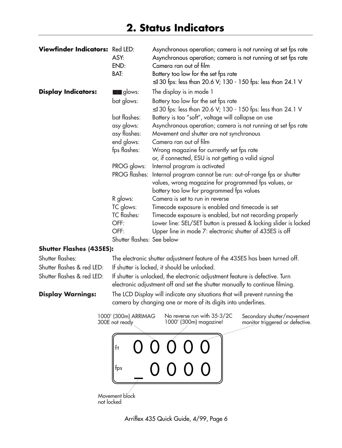# **2. Status Indicators**

| Viewfinder Indicators: Red LED: | ASY:<br>END:<br>BAT:       | Asynchronous operation; camera is not running at set fps rate<br>Asynchronous operation; camera is not running at set fps rate<br>Camera ran out of film<br>Battery too low for the set fps rate |
|---------------------------------|----------------------------|--------------------------------------------------------------------------------------------------------------------------------------------------------------------------------------------------|
|                                 |                            | ≤130 fps: less than 20.6 V; 130 - 150 fps: less than 24.1 V                                                                                                                                      |
| <b>Display Indicators:</b>      | $\blacksquare$ glows:      | The display is in mode 1                                                                                                                                                                         |
|                                 | bat glows:                 | Battery too low for the set fps rate<br>≤130 fps: less than 20.6 V; 130 - 150 fps: less than 24.1 V                                                                                              |
|                                 | bat flashes:               | Battery is too "soft", voltage will collapse on use                                                                                                                                              |
|                                 | asy glows:                 | Asynchronous operation; camera is not running at set fps rate                                                                                                                                    |
|                                 | asy flashes:               | Movement and shutter are not synchronous                                                                                                                                                         |
|                                 | end glows:                 | Camera ran out of film                                                                                                                                                                           |
|                                 | fps flashes:               | Wrong magazine for currently set fps rate                                                                                                                                                        |
|                                 |                            | or, if connected, ESU is not getting a valid signal                                                                                                                                              |
|                                 | PROG glows:                | Internal program is activated                                                                                                                                                                    |
|                                 | <b>PROG</b> flashes:       | Internal program cannot be run: out-of-range fps or shutter                                                                                                                                      |
|                                 |                            | values, wrong magazine for programmed fps values, or                                                                                                                                             |
|                                 |                            | battery too low for programmed fps values                                                                                                                                                        |
|                                 | R glows:                   | Camera is set to run in reverse                                                                                                                                                                  |
|                                 | TC glows:                  | Timecode exposure is enabled and timecode is set                                                                                                                                                 |
|                                 | <b>TC</b> flashes:         | Timecode exposure is enabled, but not recording properly                                                                                                                                         |
|                                 | OFF:                       | Lower line: SEL/SET button is pressed & locking slider is locked                                                                                                                                 |
|                                 | OFF:                       | Upper line in mode 7: electronic shutter of 435ES is off                                                                                                                                         |
|                                 | Shutter flashes: See below |                                                                                                                                                                                                  |

#### **Shutter Flashes (435ES):**

| Shutter flashes:           |                                        | The electronic shutter adjustment feature of the 435ES has been turned off.                                                                                 |                                                               |
|----------------------------|----------------------------------------|-------------------------------------------------------------------------------------------------------------------------------------------------------------|---------------------------------------------------------------|
| Shutter flashes & red LED: |                                        | If shutter is locked, it should be unlocked.                                                                                                                |                                                               |
| Shutter flashes & red LED: |                                        | If shutter is unlocked, the electronic adjustment feature is defective. Turn<br>electronic adjustment off and set the shutter manually to continue filming. |                                                               |
| <b>Display Warnings:</b>   |                                        | The LCD Display will indicate any situations that will prevent running the<br>camera by changing one or more of its digits into underlines.                 |                                                               |
|                            | 1000' (300m) ARRIMAG<br>300E not ready | No reverse run with 35-3/2C<br>1000' (300m) magazine!                                                                                                       | Secondary shutter/movement<br>monitor triggered or defective. |
|                            |                                        |                                                                                                                                                             |                                                               |



not locked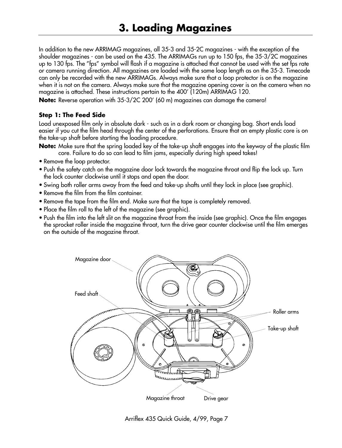In addition to the new ARRIMAG magazines, all 35-3 and 35-2C magazines - with the exception of the shoulder magazines - can be used on the 435. The ARRIMAGs run up to 150 fps, the 35-3/2C magazines up to 130 fps. The "fps" symbol will flash if a magazine is attached that cannot be used with the set fps rate or camera running direction. All magazines are loaded with the same loop length as on the 35-3. Timecode can only be recorded with the new ARRIMAGs. Always make sure that a loop protector is on the magazine when it is not on the camera. Always make sure that the magazine opening cover is on the camera when no magazine is attached. These instructions pertain to the 400' (120m) ARRIMAG 120.

**Note:** Reverse operation with 35-3/2C 200' (60 m) magazines can damage the camera!

#### **Step 1: The Feed Side**

Load unexposed film only in absolute dark - such as in a dark room or changing bag. Short ends load easier if you cut the film head through the center of the perforations. Ensure that an empty plastic core is on the take-up shaft before starting the loading procedure.

- **Note:** Make sure that the spring loaded key of the take-up shaft engages into the keyway of the plastic film core. Failure to do so can lead to film jams, especially during high speed takes!
- Remove the loop protector.
- Push the safety catch on the magazine door lock towards the magazine throat and flip the lock up. Turn the lock counter clockwise until it stops and open the door.
- Swing both roller arms away from the feed and take-up shafts until they lock in place (see graphic).
- Remove the film from the film container.
- Remove the tape from the film end. Make sure that the tape is completely removed.
- Place the film roll to the left of the magazine (see graphic).
- Push the film into the left slit on the magazine throat from the inside (see graphic). Once the film engages the sprocket roller inside the magazine throat, turn the drive gear counter clockwise until the film emerges on the outside of the magazine throat.



Arriflex 435 Quick Guide, 4/99, Page 7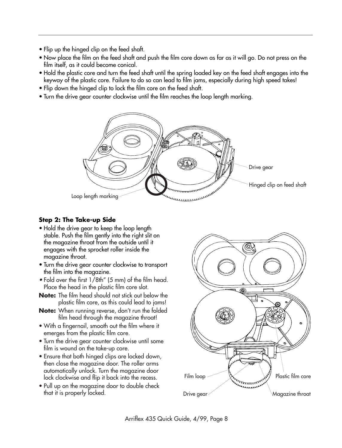- Flip up the hinged clip on the feed shaft.
- Now place the film on the feed shaft and push the film core down as far as it will go. Do not press on the film itself, as it could become conical.
- Hold the plastic core and turn the feed shaft until the spring loaded key on the feed shaft engages into the keyway of the plastic core. Failure to do so can lead to film jams, especially during high speed takes!
- Flip down the hinged clip to lock the film core on the feed shaft.
- Turn the drive gear counter clockwise until the film reaches the loop length marking.



# **Step 2: The Take-up Side**

- Hold the drive gear to keep the loop length stable. Push the film gently into the right slit on the magazine throat from the outside until it engages with the sprocket roller inside the magazine throat.
- Turn the drive gear counter clockwise to transport the film into the magazine.
- Fold over the first 1/8th" (5 mm) of the film head. Place the head in the plastic film core slot.
- **Note:** The film head should not stick out below the plastic film core, as this could lead to jams!
- **Note:** When running reverse, don't run the folded film head through the magazine throat!
- With a fingernail, smooth out the film where it emerges from the plastic film core.
- Turn the drive gear counter clockwise until some film is wound on the take-up core.
- Ensure that both hinged clips are locked down, then close the magazine door. The roller arms automatically unlock. Turn the magazine door lock clockwise and flip it back into the recess.
- Pull up on the magazine door to double check that it is properly locked.

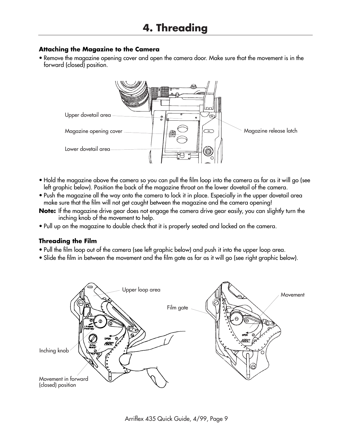# **Attaching the Magazine to the Camera**

• Remove the magazine opening cover and open the camera door. Make sure that the movement is in the forward (closed) position.



- Hold the magazine above the camera so you can pull the film loop into the camera as far as it will go (see left graphic below). Position the back of the magazine throat on the lower dovetail of the camera.
- Push the magazine all the way onto the camera to lock it in place. Especially in the upper dovetail area make sure that the film will not get caught between the magazine and the camera opening!
- **Note:** If the magazine drive gear does not engage the camera drive gear easily, you can slightly turn the inching knob of the movement to help.
- Pull up on the magazine to double check that it is properly seated and locked on the camera.

# **Threading the Film**

- Pull the film loop out of the camera (see left graphic below) and push it into the upper loop area.
- Slide the film in between the movement and the film gate as far as it will go (see right graphic below).

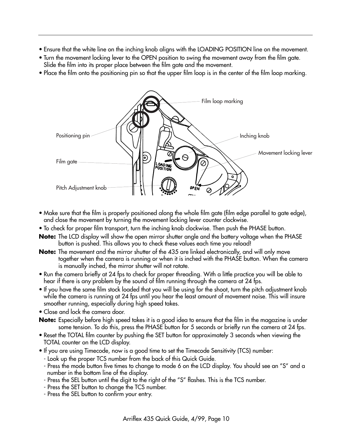- Ensure that the white line on the inching knob aligns with the LOADING POSITION line on the movement.
- Turn the movement locking lever to the OPEN position to swing the movement away from the film gate. Slide the film into its proper place between the film gate and the movement.
- Place the film onto the positioning pin so that the upper film loop is in the center of the film loop marking.



- Make sure that the film is properly positioned along the whole film gate (film edge parallel to gate edge), and close the movement by turning the movement locking lever counter clockwise.
- To check for proper film transport, turn the inching knob clockwise. Then push the PHASE button.
- **Note:** The LCD display will show the open mirror shutter angle and the battery voltage when the PHASE button is pushed. This allows you to check these values each time you reload!
- **Note:** The movement and the mirror shutter of the 435 are linked electronically, and will only move together when the camera is running or when it is inched with the PHASE button. When the camera is manually inched, the mirror shutter will not rotate.
- Run the camera briefly at 24 fps to check for proper threading. With a little practice you will be able to hear if there is any problem by the sound of film running through the camera at 24 fps.
- If you have the same film stock loaded that you will be using for the shoot, turn the pitch adjustment knob while the camera is running at 24 fps until you hear the least amount of movement noise. This will insure smoother running, especially during high speed takes.
- Close and lock the camera door.

**Note:** Especially before high speed takes it is a good idea to ensure that the film in the magazine is under some tension. To do this, press the PHASE button for 5 seconds or briefly run the camera at 24 fps.

- Reset the TOTAL film counter by pushing the SET button for approximately 3 seconds when viewing the TOTAL counter on the LCD display.
- If you are using Timecode, now is a good time to set the Timecode Sensitivity (TCS) number:
	- Look up the proper TCS number from the back of this Quick Guide.
	- Press the mode button five times to change to mode 6 on the LCD display. You should see an "S" and a number in the bottom line of the display.
	- Press the SEL button until the digit to the right of the "S" flashes. This is the TCS number.
	- Press the SET button to change the TCS number.
	- Press the SEL button to confirm your entry.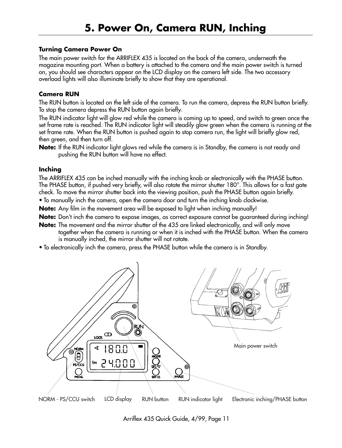#### **Turning Camera Power On**

The main power switch for the ARRIFLEX 435 is located on the back of the camera, underneath the magazine mounting port. When a battery is attached to the camera and the main power switch is turned on, you should see characters appear on the LCD display on the camera left side. The two accessory overload lights will also illuminate briefly to show that they are operational.

#### **Camera RUN**

The RUN button is located on the left side of the camera. To run the camera, depress the RUN button briefly. To stop the camera depress the RUN button again briefly.

The RUN indicator light will glow red while the camera is coming up to speed, and switch to green once the set frame rate is reached. The RUN indicator light will steadily glow green when the camera is running at the set frame rate. When the RUN button is pushed again to stop camera run, the light will briefly glow red, then green, and then turn off.

**Note:** If the RUN indicator light glows red while the camera is in Standby, the camera is not ready and pushing the RUN button will have no effect.

#### **Inching**

The ARRIFLEX 435 can be inched manually with the inching knob or electronically with the PHASE button. The PHASE button, if pushed very briefly, will also rotate the mirror shutter 180°. This allows for a fast gate check. To move the mirror shutter back into the viewing position, push the PHASE button again briefly.

• To manually inch the camera, open the camera door and turn the inching knob clockwise.

**Note:** Any film in the movement area will be exposed to light when inching manually!

**Note:** Don't inch the camera to expose images, as correct exposure cannot be guaranteed during inching!

- **Note:** The movement and the mirror shutter of the 435 are linked electronically, and will only move together when the camera is running or when it is inched with the PHASE button. When the camera is manually inched, the mirror shutter will not rotate.
- To electronically inch the camera, press the PHASE button while the camera is in Standby.



Arriflex 435 Quick Guide, 4/99, Page 11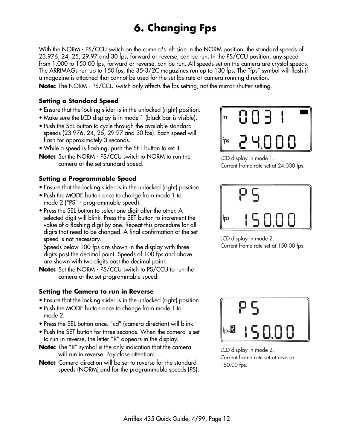With the NORM - PS/CCU switch on the camera's left side in the NORM position, the standard speeds of 23.976, 24, 25, 29.97 and 30 fps, forward or reverse, can be run. In the PS/CCU position, any speed from 1.000 to 150.00 fps, forward or reverse, can be run. All speeds set on the camera are crystal speeds. The ARRIMAGs run up to 150 fps, the 35-3/2C magazines run up to 130 fps. The "fps" symbol will flash if a magazine is attached that cannot be used for the set fps rate or camera running direction.

**Note:** The NORM - PS/CCU switch only affects the fps setting, not the mirror shutter setting.

#### **Setting a Standard Speed**

- Ensure that the locking slider is in the unlocked (right) position.
- Make sure the LCD display is in mode 1 (black bar is visible).
- Push the SEL button to cycle through the available standard speeds (23.976, 24, 25, 29.97 and 30 fps). Each speed will flash for approximately 3 seconds.
- While a speed is flashing, push the SET button to set it.
- **Note:** Set the NORM PS/CCU switch to NORM to run the camera at the set standard speed.

#### **Setting a Programmable Speed**

- Ensure that the locking slider is in the unlocked (right) position.
- Push the MODE button once to change from mode 1 to mode 2 ("PS" - programmable speed).
- Press the SEL button to select one digit after the other. A selected digit will blink. Press the SET button to increment the value of a flashing digit by one. Repeat this procedure for all digits that need to be changed. A final confirmation of the set speed is not necessary.

Speeds below 100 fps are shown in the display with three digits past the decimal point. Speeds of 100 fps and above are shown with two digits past the decimal point.

**Note:** Set the NORM - PS/CCU switch to PS/CCU to run the camera at the set programmable speed.

#### **Setting the Camera to run in Reverse**

- Ensure that the locking slider is in the unlocked (right) position.
- Push the MODE button once to change from mode 1 to mode 2.
- Press the SEL button once. "cd" (camera direction) will blink.
- Push the SET button for three seconds. When the camera is set to run in reverse, the letter "R" appears in the display.
- **Note:** The "R" symbol is the only indication that the camera will run in reverse. Pay close attention!
- **Note:** Camera direction will be set to reverse for the standard speeds (NORM) and for the programmable speeds (PS).



LCD display in mode 1. Current frame rate set at 24.000 fps.



LCD display in mode 2. Current frame rate set at 150.00 fps.



LCD display in mode 2. Current frame rate set at reverse 150.00 fps.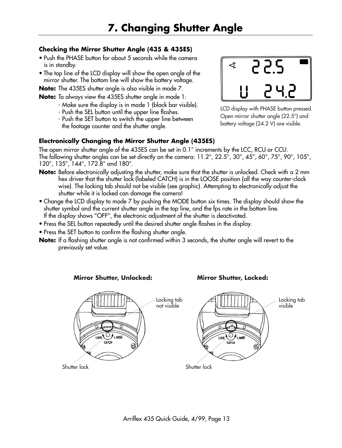# **Checking the Mirror Shutter Angle (435 & 435ES)**

- Push the PHASE button for about 5 seconds while the camera is in standby.
- The top line of the LCD display will show the open angle of the mirror shutter. The bottom line will show the battery voltage.

**Note:** The 435ES shutter angle is also visible in mode 7.

**Note:** To always view the 435ES shutter angle in mode 1:

- Make sure the display is in mode 1 (black bar visible).
- Push the SEL button until the upper line flashes.
- Push the SET button to switch the upper line between the footage counter and the shutter angle.

# **Electronically Changing the Mirror Shutter Angle (435ES)**

The open mirror shutter angle of the 435ES can be set in 0.1° increments by the LCC, RCU or CCU. The following shutter angles can be set directly on the camera: 11.2°, 22.5°, 30°, 45°, 60°, 75°, 90°, 105°, 120°, 135°, 144°, 172.8° and 180°.

- **Note:** Before electronically adjusting the shutter, make sure that the shutter is unlocked. Check with a 2 mm hex driver that the shutter lock (labeled CATCH) is in the LOOSE position (all the way counter-clock wise). The locking tab should not be visible (see graphic). Attempting to electronically adjust the shutter while it is locked can damage the camera!
- Change the LCD display to mode 7 by pushing the MODE button six times. The display should show the shutter symbol and the current shutter angle in the top line, and the fps rate in the bottom line. If the display shows "OFF", the electronic adjustment of the shutter is deactivated.
- Press the SEL button repeatedly until the desired shutter angle flashes in the display.
- Press the SET button to confirm the flashing shutter angle.
- **Note:** If a flashing shutter angle is not confirmed within 3 seconds, the shutter angle will revert to the previously set value.



LCD display with PHASE button pressed.

Open mirror shutter angle (22.5°) and battery voltage (24.2 V) are visible.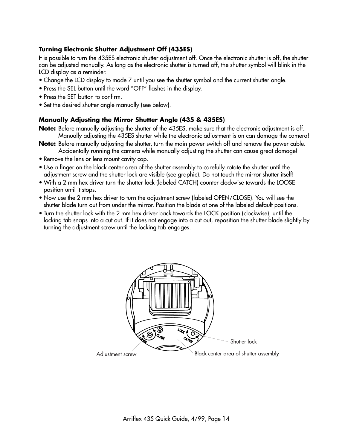#### **Turning Electronic Shutter Adjustment Off (435ES)**

It is possible to turn the 435ES electronic shutter adjustment off. Once the electronic shutter is off, the shutter can be adjusted manually. As long as the electronic shutter is turned off, the shutter symbol will blink in the LCD display as a reminder.

- Change the LCD display to mode 7 until you see the shutter symbol and the current shutter angle.
- Press the SEL button until the word "OFF" flashes in the display.
- Press the SET button to confirm.
- Set the desired shutter angle manually (see below).

#### **Manually Adjusting the Mirror Shutter Angle (435 & 435ES)**

- **Note:** Before manually adjusting the shutter of the 435ES, make sure that the electronic adjustment is off. Manually adjusting the 435ES shutter while the electronic adjustment is on can damage the camera!
- **Note:** Before manually adjusting the shutter, turn the main power switch off and remove the power cable. Accidentally running the camera while manually adjusting the shutter can cause great damage!
- Remove the lens or lens mount cavity cap.
- Use a finger on the black center area of the shutter assembly to carefully rotate the shutter until the adjustment screw and the shutter lock are visible (see graphic). Do not touch the mirror shutter itself!
- With a 2 mm hex driver turn the shutter lock (labeled CATCH) counter clockwise towards the LOOSE position until it stops.
- Now use the 2 mm hex driver to turn the adjustment screw (labeled OPEN/CLOSE). You will see the shutter blade turn out from under the mirror. Position the blade at one of the labeled default positions.
- Turn the shutter lock with the 2 mm hex driver back towards the LOCK position (clockwise), until the locking tab snaps into a cut out. If it does not engage into a cut out, reposition the shutter blade slightly by turning the adjustment screw until the locking tab engages.

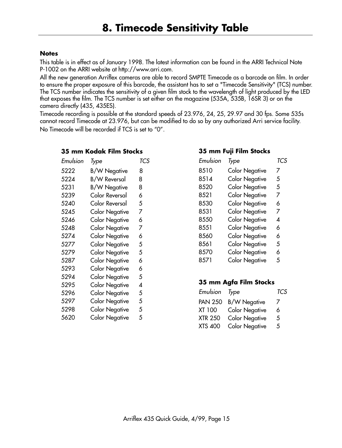#### **Notes**

This table is in effect as of January 1998. The latest information can be found in the ARRI Technical Note P-1002 on the ARRI website at http://www.arri.com.

All the new generation Arriflex cameras are able to record SMPTE Timecode as a barcode on film. In order to ensure the proper exposure of this barcode, the assistant has to set a "Timecode Sensitivity" (TCS) number. The TCS number indicates the sensitivity of a given film stock to the wavelength of light produced by the LED that exposes the film. The TCS number is set either on the magazine (535A, 535B, 16SR 3) or on the camera directly (435, 435ES).

Timecode recording is possible at the standard speeds of 23.976, 24, 25, 29.97 and 30 fps. Some 535s cannot record Timecode at 23.976, but can be modified to do so by any authorized Arri service facility. No Timecode will be recorded if TCS is set to "0".

#### **35 mm Kodak Film Stocks**

| Emulsion | Type                  | TCS |
|----------|-----------------------|-----|
| 5222     | <b>B/W Negative</b>   | 8   |
| 5224     | <b>B/W Reversal</b>   | 8   |
| 5231     | <b>B/W Negative</b>   | 8   |
| 5239     | Color Reversal        | 6   |
| 5240     | Color Reversal        | 5   |
| 5245     | <b>Color Negative</b> | 7   |
| 5246     | <b>Color Negative</b> | 6   |
| 5248     | Color Negative        | 7   |
| 5274     | <b>Color Negative</b> | 6   |
| 5277     | <b>Color Negative</b> | 5   |
| 5279     | Color Negative        | 5   |
| 5287     | <b>Color Negative</b> | 6   |
| 5293     | Color Negative        | 6   |
| 5294     | Color Negative        | 5   |
| 5295     | <b>Color Negative</b> | 4   |
| 5296     | <b>Color Negative</b> | 5   |
| 5297     | <b>Color Negative</b> | 5   |
| 5298     | Color Negative        | 5   |
| 5620     | Color Negative        | 5   |
|          |                       |     |

#### **35 mm Fuji Film Stocks**

| Emulsion | Type                  | TCS |
|----------|-----------------------|-----|
| 8510     | <b>Color Negative</b> | 7   |
| 8514     | <b>Color Negative</b> | 5   |
| 8520     | <b>Color Negative</b> | 5   |
| 8521     | <b>Color Negative</b> | 7   |
| 8530     | <b>Color Negative</b> | 6   |
| 8531     | <b>Color Negative</b> | 7   |
| 8550     | <b>Color Negative</b> | 4   |
| 8551     | <b>Color Negative</b> | 6   |
| 8560     | <b>Color Negative</b> | 6   |
| 8561     | <b>Color Negative</b> | 5   |
| 8570     | <b>Color Negative</b> | 6   |
| 8571     | <b>Color Negative</b> | 5   |
|          |                       |     |

### **35 mm Agfa Film Stocks**

| Emulsion Type  |                       | <b>TCS</b> |
|----------------|-----------------------|------------|
| <b>PAN 250</b> | <b>B/W Negative</b>   | 7          |
| XT 100         | <b>Color Negative</b> | 6          |
| <b>XTR 250</b> | <b>Color Negative</b> | 5          |
| XTS 400        | <b>Color Negative</b> | 5          |